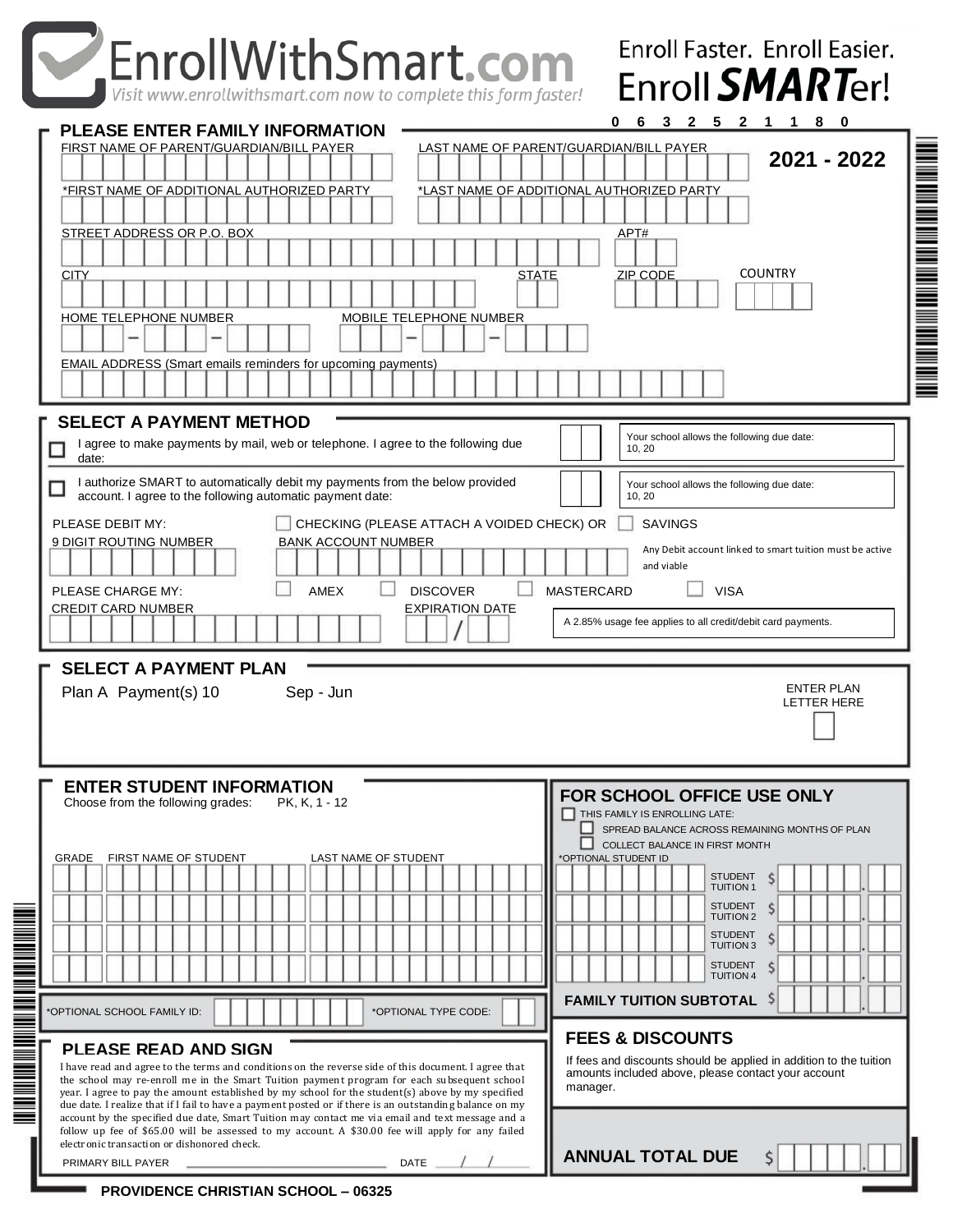### **Smart**  $\epsilon$  and  $\epsilon$  **Enga 10 Woodbridge Center Drive** Enroll **SMART**er! Visit www.enrollwithsmart.com now to complete this form faster! **0 6 3 2 5 2 1 1 8 0 PLEASE ENTER FAMILY INFORMATION** FIRST NAME OF PARENT/GUARDIAN/BILL PAYER LAST NAME OF PARENT/GUARDIAN/BILL PAYER **DIAN/BILL 2017-2018 2021 - 2022** \*FIRST NAME OF ADDITIONAL AUTHORIZED PARTY \_\_\_\_\_\_\_ \*LAST NAME OF ADDITIONAL AUTHORIZED PARTY STREET ADDRESS OR P.O. BOX APT# APT# APT# APT# APT# APT# APT# **CITY COUNTRY** STATE ZIP CODE

in die Schweizer und der Erste Erste Erste Erste Erste Erste Erste Erste Erste Erste Erste Erste Erste Erste E

| HOME TELEPHONE NUMBER<br>MOBILE TELEPHONE NUMBER                                                                                                                                                                                                    |                                                                                                                    |
|-----------------------------------------------------------------------------------------------------------------------------------------------------------------------------------------------------------------------------------------------------|--------------------------------------------------------------------------------------------------------------------|
| EMAIL ADDRESS (Smart emails reminders for upcoming payments)                                                                                                                                                                                        |                                                                                                                    |
|                                                                                                                                                                                                                                                     |                                                                                                                    |
| <b>SELECT A PAYMENT METHOD</b>                                                                                                                                                                                                                      |                                                                                                                    |
| I agree to make payments by mail, web or telephone. I agree to the following due<br>date:                                                                                                                                                           | Your school allows the following due date:<br>10, 20                                                               |
| I authorize SMART to automatically debit my payments from the below provided<br>account. I agree to the following automatic payment date:                                                                                                           | Your school allows the following due date:<br>10, 20                                                               |
| PLEASE DEBIT MY:<br>CHECKING (PLEASE ATTACH A VOIDED CHECK) OR                                                                                                                                                                                      | <b>SAVINGS</b>                                                                                                     |
| <b>BANK ACCOUNT NUMBER</b><br>9 DIGIT ROUTING NUMBER                                                                                                                                                                                                | Any Debit account linked to smart tuition must be active<br>and viable                                             |
| <b>AMEX</b><br><b>DISCOVER</b><br>PLEASE CHARGE MY:                                                                                                                                                                                                 | <b>MASTERCARD</b><br><b>VISA</b>                                                                                   |
| <b>CREDIT CARD NUMBER</b><br><b>EXPIRATION DATE</b>                                                                                                                                                                                                 |                                                                                                                    |
|                                                                                                                                                                                                                                                     | A 2.85% usage fee applies to all credit/debit card payments.                                                       |
|                                                                                                                                                                                                                                                     |                                                                                                                    |
| <b>SELECT A PAYMENT PLAN</b><br>Plan A Payment(s) 10<br>Sep - Jun                                                                                                                                                                                   | <b>ENTER PLAN</b><br><b>LETTER HERE</b>                                                                            |
|                                                                                                                                                                                                                                                     |                                                                                                                    |
| <b>ENTER STUDENT INFORMATION</b><br>Choose from the following grades:<br>PK, K, 1 - 12                                                                                                                                                              | FOR SCHOOL OFFICE USE ONLY                                                                                         |
|                                                                                                                                                                                                                                                     | THIS FAMILY IS ENROLLING LATE:<br>SPREAD BALANCE ACROSS REMAINING MONTHS OF PLAN<br>COLLECT BALANCE IN FIRST MONTH |
| FIRST NAME OF STUDENT<br><b>GRADE</b><br>LAST NAME OF STUDENT                                                                                                                                                                                       | *OPTIONAL STUDENT ID                                                                                               |
|                                                                                                                                                                                                                                                     | <b>STUDENT</b><br><b>TUITION1</b>                                                                                  |
|                                                                                                                                                                                                                                                     | <b>STUDENT</b><br><b>TUITION 2</b>                                                                                 |
|                                                                                                                                                                                                                                                     | <b>STUDENT</b><br>Ś                                                                                                |
|                                                                                                                                                                                                                                                     | <b>TUITION3</b><br><b>STUDENT</b>                                                                                  |
|                                                                                                                                                                                                                                                     | \$<br><b>I</b>   TUITION 4                                                                                         |
| *OPTIONAL TYPE CODE:<br>*OPTIONAL SCHOOL FAMILY ID:                                                                                                                                                                                                 | <b>FAMILY TUITION SUBTOTAL</b>                                                                                     |
|                                                                                                                                                                                                                                                     | <b>FEES &amp; DISCOUNTS</b>                                                                                        |
| <b>PLEASE READ AND SIGN</b><br>I have read and agree to the terms and conditions on the reverse side of this document. I agree that                                                                                                                 | If fees and discounts should be applied in addition to the tuition                                                 |
| the school may re-enroll me in the Smart Tuition payment program for each subsequent school<br>year. I agree to pay the amount established by my school for the student(s) above by my specified                                                    | amounts included above, please contact your account<br>manager.                                                    |
| due date. I realize that if I fail to have a payment posted or if there is an outstanding balance on my                                                                                                                                             |                                                                                                                    |
| account by the specified due date, Smart Tuition may contact me via email and text message and a<br>follow up fee of \$65.00 will be assessed to my account. A \$30.00 fee will apply for any failed<br>electronic transaction or dishonored check. |                                                                                                                    |